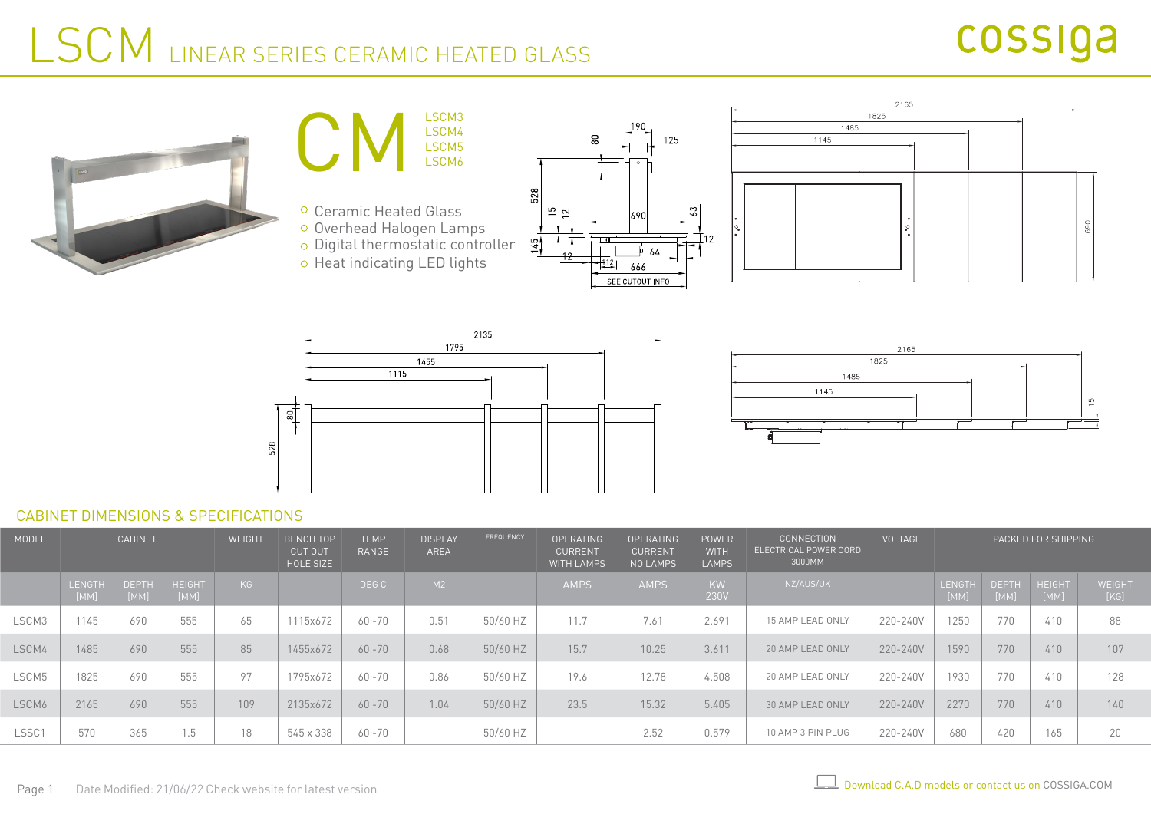### LSCM LINEAR SERIES CERAMIC HEATED GLASS













#### CABINET DIMENSIONS & SPECIFICATIONS

| MODEL | <b>CABINET</b> |                      |                       | WEIGHT | <b>BENCH TOP</b><br><b>CUT OUT</b><br>HOLE SIZE | <b>TEMP</b><br><b>RANGE</b> | <b>DISPLAY</b><br>AREA | FREQUENCY | <b>OPERATING</b><br><b>CURRENT</b><br><b>WITH LAMPS</b> | <b>OPERATING</b><br><b>CURRENT</b><br>NO LAMPS | <b>POWER</b><br><b>WITH</b><br><b>LAMPS</b> | <b>CONNECTION</b><br><b>ELECTRICAL POWER CORD</b><br>3000MM | <b>VOLTAGE</b> | PACKED FOR SHIPPING |                      |                       |                       |
|-------|----------------|----------------------|-----------------------|--------|-------------------------------------------------|-----------------------------|------------------------|-----------|---------------------------------------------------------|------------------------------------------------|---------------------------------------------|-------------------------------------------------------------|----------------|---------------------|----------------------|-----------------------|-----------------------|
|       | LENGTH<br>[MM] | <b>DEPTH</b><br>[MM] | <b>HEIGHT</b><br>[MM] | KG     |                                                 | DEG C                       | M2                     |           | <b>AMPS</b>                                             | <b>AMPS</b>                                    | KW<br>230V                                  | NZ/AUS/UK                                                   |                | LENGTH<br>[MM]      | <b>DEPTH</b><br>[MM] | <b>HEIGHT</b><br>[MM] | <b>WEIGHT</b><br>[KG] |
| LSCM3 | 1145           | 690                  | 555                   | 65     | 1115x672                                        | $60 - 70$                   | 0.51                   | 50/60 HZ  | 11.7                                                    | 7.61                                           | 2.691                                       | 15 AMP LEAD ONLY                                            | 220-240V       | 1250                | 770                  | 410                   | 88                    |
| LSCM4 | 1485           | 690                  | 555                   | 85     | 1455x672                                        | $60 - 70$                   | 0.68                   | 50/60 HZ  | 15.7                                                    | 10.25                                          | 3.611                                       | 20 AMP LEAD ONLY                                            | 220-240V       | 1590                | 770                  | 410                   | 107                   |
| LSCM5 | 1825           | 690                  | 555                   | 97     | 795x672                                         | $60 - 70$                   | 0.86                   | 50/60 HZ  | 19.6                                                    | 12.78                                          | 4.508                                       | 20 AMP LEAD ONLY                                            | 220-240V       | 1930                | 770                  | 410                   | 128                   |
| LSCM6 | 2165           | 690                  | 555                   | 109    | 2135x672                                        | $60 - 70$                   | 1.04                   | 50/60 HZ  | 23.5                                                    | 15.32                                          | 5.405                                       | 30 AMP LEAD ONLY                                            | 220-240V       | 2270                | 770                  | 410                   | 140                   |
| LSSC1 | 570            | 365                  | 1.5                   | 18     | 545 x 338                                       | 60 -70                      |                        | 50/60 HZ  |                                                         | 2.52                                           | 0.579                                       | 10 AMP 3 PIN PLUG                                           | 220-240V       | 680                 | 420                  | 165                   | 20                    |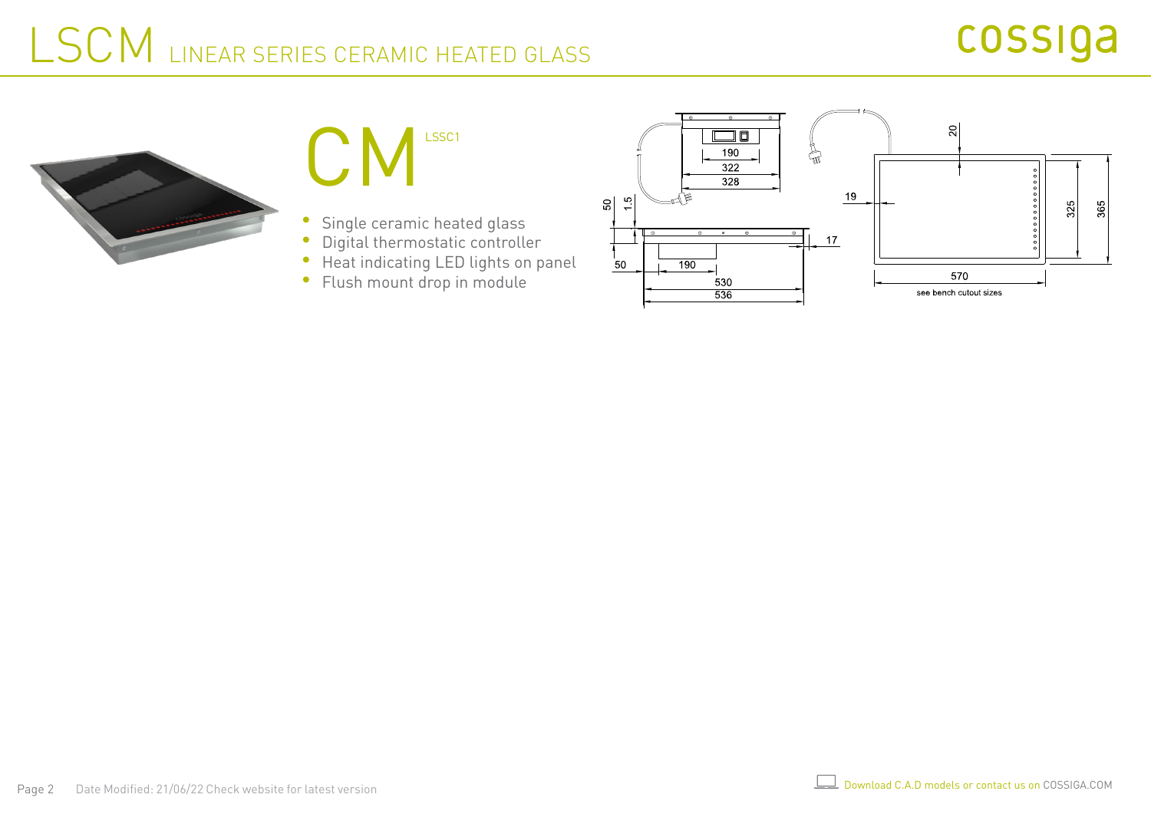### cossiga

# LSCM LINEAR SERIES CERAMIC HEATED GLASS





- Single ceramic heated glass
- Digital thermostatic controller  $\bullet$
- Heat indicating LED lights on panel  $\bullet$
- Flush mount drop in module $\bullet$

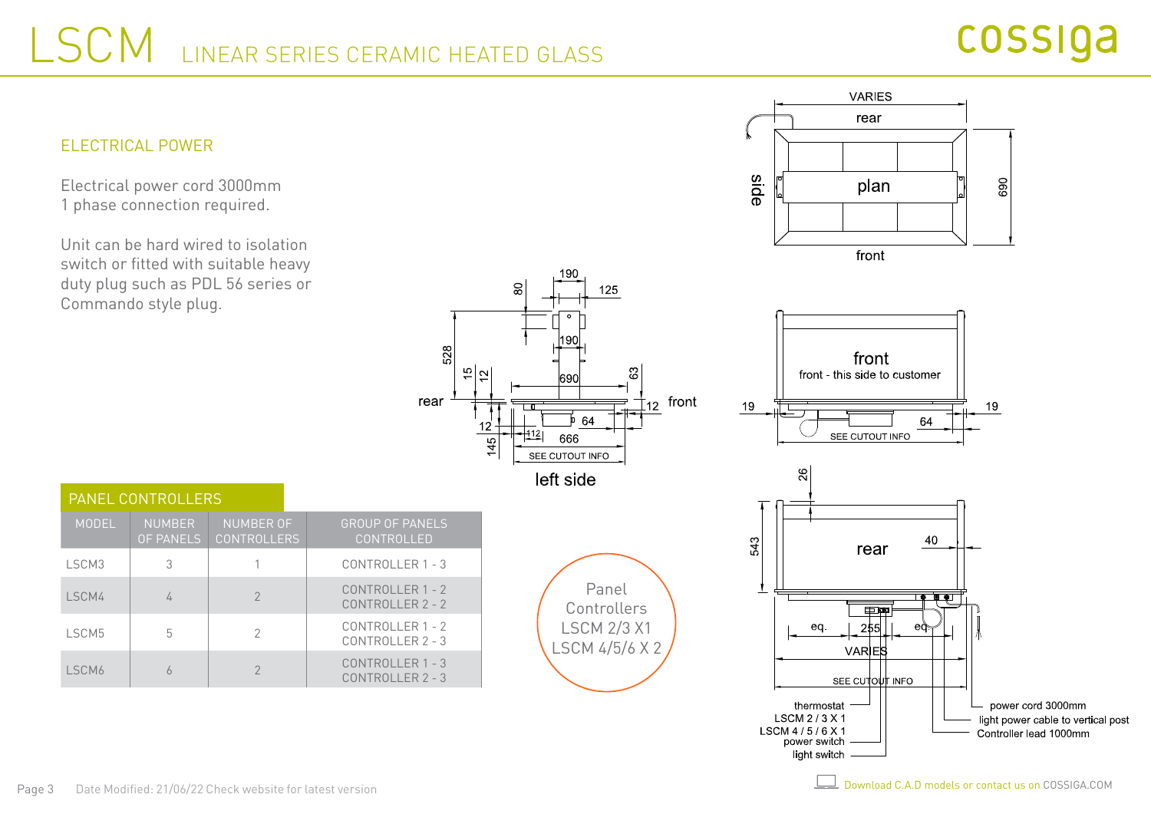528

rear

 $\frac{5}{2}$ 

 $12$ 

 $145$ 



Electrical power cord 3000mm 1 phase connection required.

Unit can be hard wired to isolation switch or fitted with suitable heavy duty plug such as PDL 56 series or Commando style plug.



light switch

| <b>PANEL CONTROLLERS</b> |                                   |                                        |                                             |  |  |  |  |  |  |
|--------------------------|-----------------------------------|----------------------------------------|---------------------------------------------|--|--|--|--|--|--|
| <b>MODEL</b>             | <b>NUMBER</b><br><b>OF PANELS</b> | <b>NUMBER OF</b><br><b>CONTROLLERS</b> | <b>GROUP OF PANELS</b><br>CONTROLLED        |  |  |  |  |  |  |
| LSCM3                    | 3                                 |                                        | CONTROLLER 1 - 3                            |  |  |  |  |  |  |
| I SCM4                   | 4                                 | $\mathcal{P}$                          | <b>CONTROLLER 1 - 2</b><br>CONTROLLER 2 - 2 |  |  |  |  |  |  |
| LSCM5                    | 5                                 | 2                                      | CONTROLLER 1 - 2<br>$CONTROI I FR 2 - 3$    |  |  |  |  |  |  |
| LSCM6                    |                                   |                                        | CONTROLLER 1 - 3<br>CONTROLLER 2 - 3        |  |  |  |  |  |  |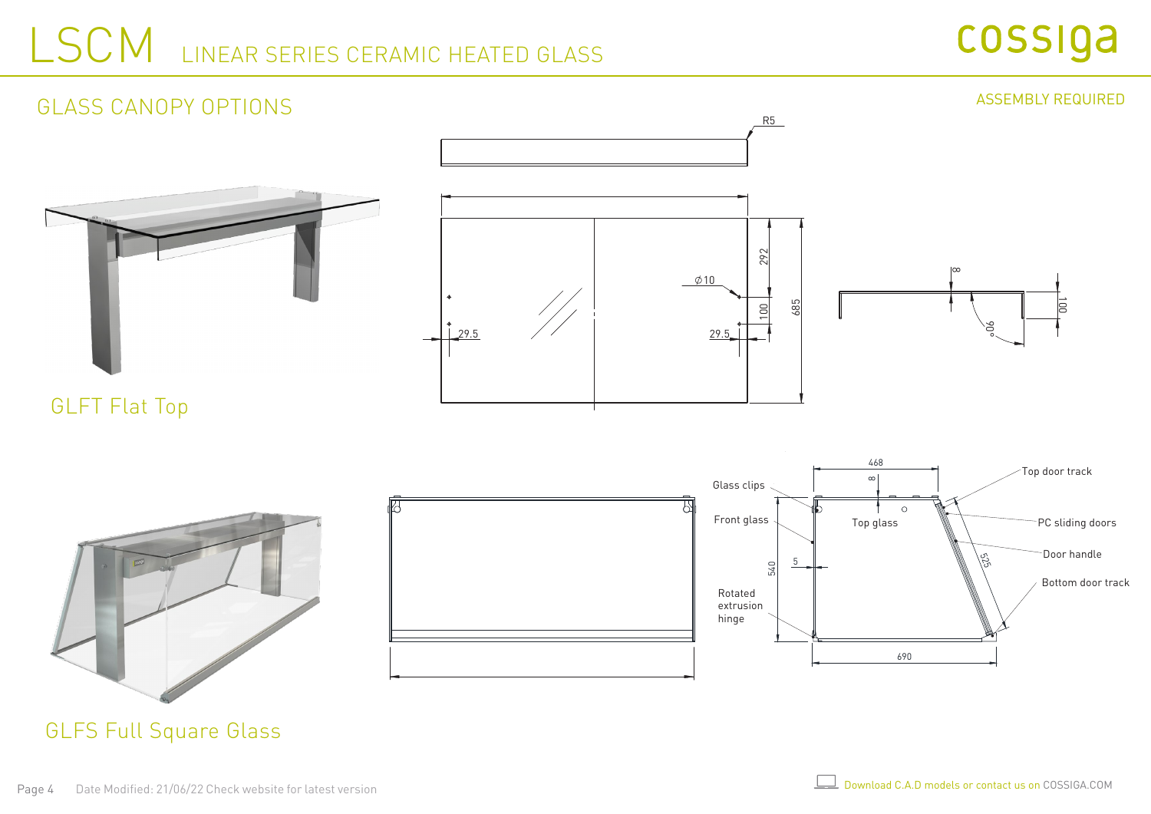## LSCM LINEAR SERIES CERAMIC HEATED GLASS



### R5  $^{\circ}$ 292 100  $\emptyset$ 10  $\int_{29.5}$ 685 29.5 GLASS CANOPY OPTIONS ASSEMBLY REQUIRED

GLFT Flat Top





GLFS Full Square Glass

100

90°

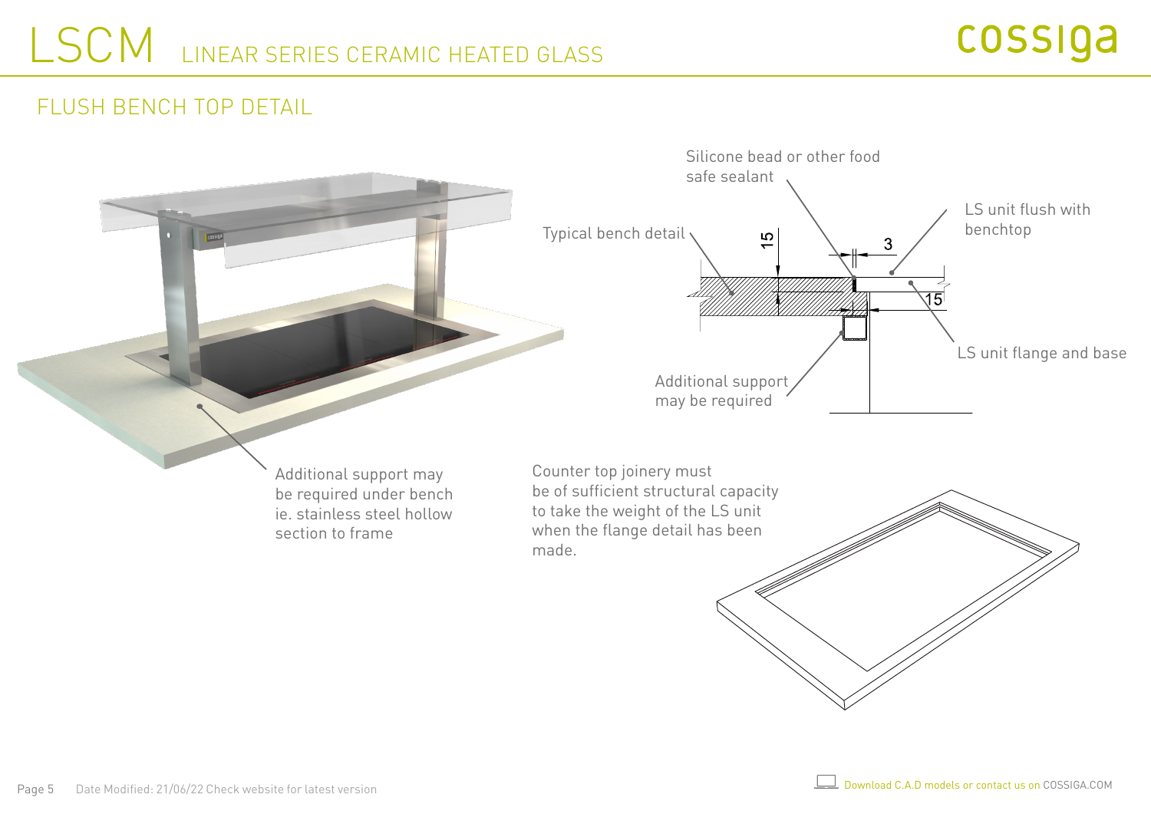#### FLUSH BENCH TOP DETAIL

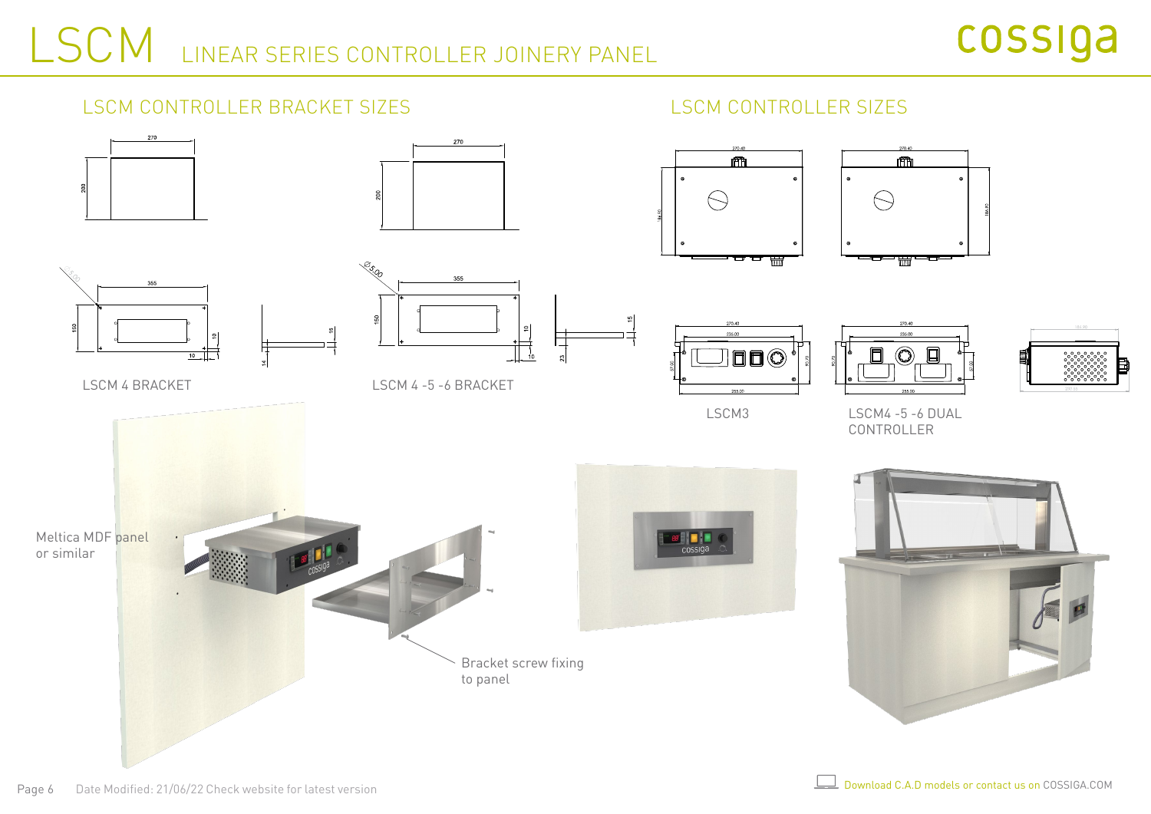#### LSCM CONTROLLER BRACKET SIZES LSCM CONTROLLER SIZES











LSCM 4 BRACKET
LSCM 4 BRACKET
LSCM 4 -5 -6 BRACKET











LSCM3 LSCM4 -5 -6 DUAL CONTROLLER



ヰ